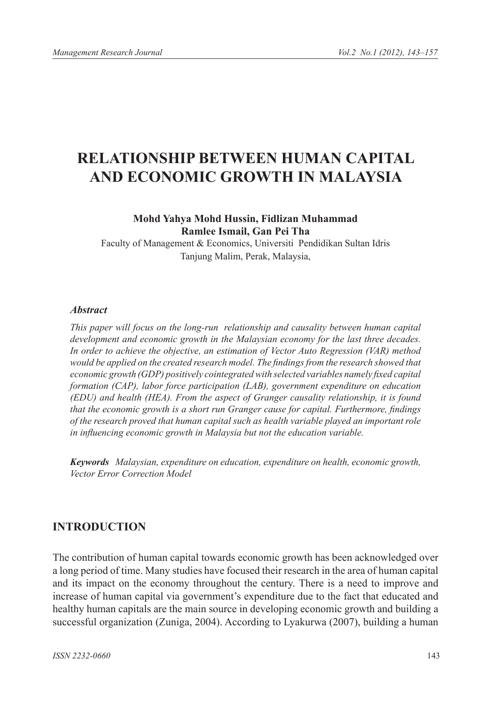# **RELATIONSHIP BETWEEN HUMAN CAPITAL AND ECONOMIC GROWTH IN MALAYSIA**

### **Mohd Yahya Mohd Hussin, Fidlizan Muhammad Ramlee Ismail, Gan Pei Tha**

Faculty of Management & Economics, Universiti Pendidikan Sultan Idris Tanjung Malim, Perak, Malaysia,

#### *Abstract*

*This paper will focus on the long-run relationship and causality between human capital development and economic growth in the Malaysian economy for the last three decades. In order to achieve the objective, an estimation of Vector Auto Regression (VAR) method would be applied on the created research model. The findings from the research showed that economic growth (GDP) positively cointegrated with selected variables namely fixed capital formation (CAP), labor force participation (LAB), government expenditure on education (EDU) and health (HEA). From the aspect of Granger causality relationship, it is found that the economic growth is a short run Granger cause for capital. Furthermore, findings of the research proved that human capital such as health variable played an important role in influencing economic growth in Malaysia but not the education variable.* 

*Keywords Malaysian, expenditure on education, expenditure on health, economic growth, Vector Error Correction Model*

### **INTRODUCTION**

The contribution of human capital towards economic growth has been acknowledged over a long period of time. Many studies have focused their research in the area of human capital and its impact on the economy throughout the century. There is a need to improve and increase of human capital via government's expenditure due to the fact that educated and healthy human capitals are the main source in developing economic growth and building a successful organization (Zuniga, 2004). According to Lyakurwa (2007), building a human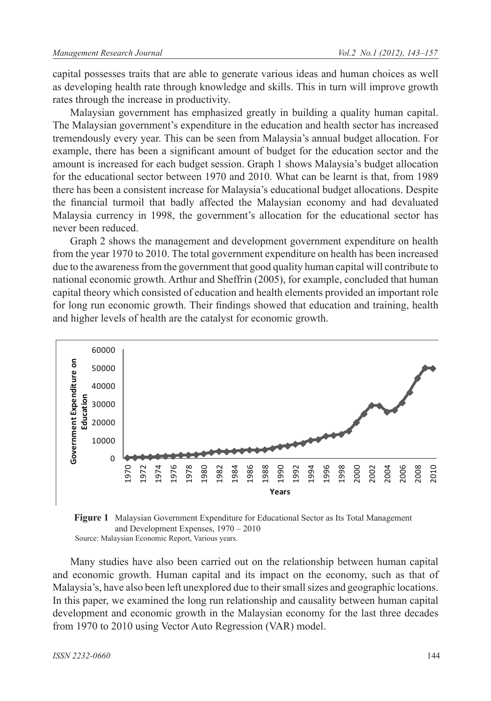capital possesses traits that are able to generate various ideas and human choices as well as developing health rate through knowledge and skills. This in turn will improve growth rates through the increase in productivity.

Malaysian government has emphasized greatly in building a quality human capital. The Malaysian government's expenditure in the education and health sector has increased tremendously every year. This can be seen from Malaysia's annual budget allocation. For example, there has been a significant amount of budget for the education sector and the amount is increased for each budget session. Graph 1 shows Malaysia's budget allocation for the educational sector between 1970 and 2010. What can be learnt is that, from 1989 there has been a consistent increase for Malaysia's educational budget allocations. Despite the financial turmoil that badly affected the Malaysian economy and had devaluated Malaysia currency in 1998, the government's allocation for the educational sector has never been reduced.

Graph 2 shows the management and development government expenditure on health from the year 1970 to 2010. The total government expenditure on health has been increased due to the awareness from the government that good quality human capital will contribute to national economic growth. Arthur and Sheffrin (2005), for example, concluded that human capital theory which consisted of education and health elements provided an important role for long run economic growth. Their findings showed that education and training, health and higher levels of health are the catalyst for economic growth.



**Figure 1** Malaysian Government Expenditure for Educational Sector as Its Total Management and Development Expenses, 1970 – 2010 Source: Malaysian Economic Report, Various years.

Many studies have also been carried out on the relationship between human capital and economic growth. Human capital and its impact on the economy, such as that of Malaysia's, have also been left unexplored due to their small sizes and geographic locations. In this paper, we examined the long run relationship and causality between human capital development and economic growth in the Malaysian economy for the last three decades from 1970 to 2010 using Vector Auto Regression (VAR) model.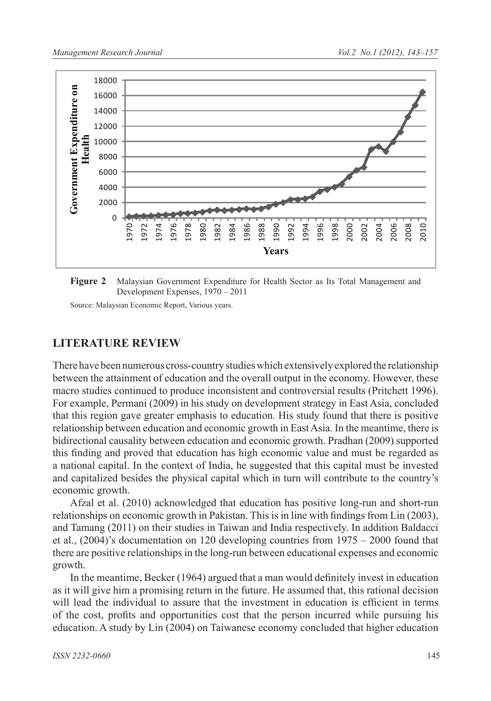

**Figure 2** Malaysian Government Expenditure for Health Sector as Its Total Management and Development Expenses, 1970 – 2011

Source: Malaysian Economic Report, Various years.

### **LITERATURE REVIEW**

There have been numerous cross-country studies which extensively explored the relationship between the attainment of education and the overall output in the economy. However, these macro studies continued to produce inconsistent and controversial results (Pritchett 1996). For example, Permani (2009) in his study on development strategy in East Asia, concluded that this region gave greater emphasis to education. His study found that there is positive relationship between education and economic growth in East Asia. In the meantime, there is bidirectional causality between education and economic growth. Pradhan (2009) supported this finding and proved that education has high economic value and must be regarded as a national capital. In the context of India, he suggested that this capital must be invested and capitalized besides the physical capital which in turn will contribute to the country's economic growth.

Afzal et al. (2010) acknowledged that education has positive long-run and short-run relationships on economic growth in Pakistan. This is in line with findings from Lin (2003), and Tamang (2011) on their studies in Taiwan and India respectively. In addition Baldacci et al., (2004)'s documentation on 120 developing countries from 1975 – 2000 found that there are positive relationships in the long-run between educational expenses and economic growth.

In the meantime, Becker (1964) argued that a man would definitely invest in education as it will give him a promising return in the future. He assumed that, this rational decision will lead the individual to assure that the investment in education is efficient in terms of the cost, profits and opportunities cost that the person incurred while pursuing his education. A study by Lin (2004) on Taiwanese economy concluded that higher education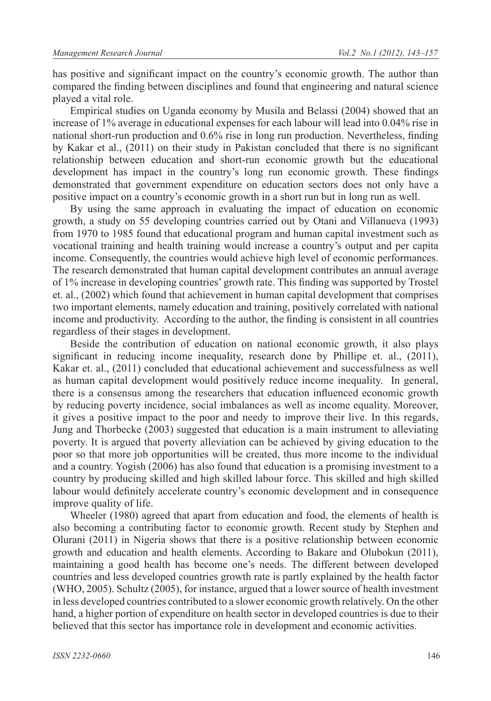has positive and significant impact on the country's economic growth. The author than compared the finding between disciplines and found that engineering and natural science played a vital role.

Empirical studies on Uganda economy by Musila and Belassi (2004) showed that an increase of 1% average in educational expenses for each labour will lead into 0.04% rise in national short-run production and 0.6% rise in long run production. Nevertheless, finding by Kakar et al., (2011) on their study in Pakistan concluded that there is no significant relationship between education and short-run economic growth but the educational development has impact in the country's long run economic growth. These findings demonstrated that government expenditure on education sectors does not only have a positive impact on a country's economic growth in a short run but in long run as well.

By using the same approach in evaluating the impact of education on economic growth, a study on 55 developing countries carried out by Otani and Villanueva (1993) from 1970 to 1985 found that educational program and human capital investment such as vocational training and health training would increase a country's output and per capita income. Consequently, the countries would achieve high level of economic performances. The research demonstrated that human capital development contributes an annual average of 1% increase in developing countries' growth rate. This finding was supported by Trostel et. al., (2002) which found that achievement in human capital development that comprises two important elements, namely education and training, positively correlated with national income and productivity. According to the author, the finding is consistent in all countries regardless of their stages in development.

Beside the contribution of education on national economic growth, it also plays significant in reducing income inequality, research done by Phillipe et. al., (2011), Kakar et. al., (2011) concluded that educational achievement and successfulness as well as human capital development would positively reduce income inequality. In general, there is a consensus among the researchers that education influenced economic growth by reducing poverty incidence, social imbalances as well as income equality. Moreover, it gives a positive impact to the poor and needy to improve their live. In this regards, Jung and Thorbecke (2003) suggested that education is a main instrument to alleviating poverty. It is argued that poverty alleviation can be achieved by giving education to the poor so that more job opportunities will be created, thus more income to the individual and a country. Yogish (2006) has also found that education is a promising investment to a country by producing skilled and high skilled labour force. This skilled and high skilled labour would definitely accelerate country's economic development and in consequence improve quality of life.

Wheeler (1980) agreed that apart from education and food, the elements of health is also becoming a contributing factor to economic growth. Recent study by Stephen and Olurani (2011) in Nigeria shows that there is a positive relationship between economic growth and education and health elements. According to Bakare and Olubokun (2011), maintaining a good health has become one's needs. The different between developed countries and less developed countries growth rate is partly explained by the health factor (WHO, 2005). Schultz (2005), for instance, argued that a lower source of health investment in less developed countries contributed to a slower economic growth relatively. On the other hand, a higher portion of expenditure on health sector in developed countries is due to their believed that this sector has importance role in development and economic activities.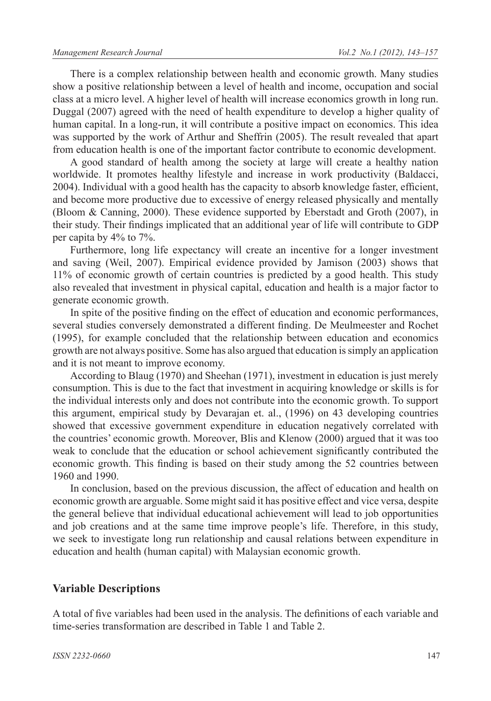There is a complex relationship between health and economic growth. Many studies show a positive relationship between a level of health and income, occupation and social class at a micro level. A higher level of health will increase economics growth in long run. Duggal (2007) agreed with the need of health expenditure to develop a higher quality of human capital. In a long-run, it will contribute a positive impact on economics. This idea was supported by the work of Arthur and Sheffrin (2005). The result revealed that apart from education health is one of the important factor contribute to economic development.

A good standard of health among the society at large will create a healthy nation worldwide. It promotes healthy lifestyle and increase in work productivity (Baldacci, 2004). Individual with a good health has the capacity to absorb knowledge faster, efficient, and become more productive due to excessive of energy released physically and mentally (Bloom & Canning, 2000). These evidence supported by Eberstadt and Groth (2007), in their study. Their findings implicated that an additional year of life will contribute to GDP per capita by 4% to 7%.

Furthermore, long life expectancy will create an incentive for a longer investment and saving (Weil, 2007). Empirical evidence provided by Jamison (2003) shows that 11% of economic growth of certain countries is predicted by a good health. This study also revealed that investment in physical capital, education and health is a major factor to generate economic growth.

In spite of the positive finding on the effect of education and economic performances, several studies conversely demonstrated a different finding. De Meulmeester and Rochet (1995), for example concluded that the relationship between education and economics growth are not always positive. Some has also argued that education is simply an application and it is not meant to improve economy.

According to Blaug (1970) and Sheehan (1971), investment in education is just merely consumption. This is due to the fact that investment in acquiring knowledge or skills is for the individual interests only and does not contribute into the economic growth. To support this argument, empirical study by Devarajan et. al., (1996) on 43 developing countries showed that excessive government expenditure in education negatively correlated with the countries' economic growth. Moreover, Blis and Klenow (2000) argued that it was too weak to conclude that the education or school achievement significantly contributed the economic growth. This finding is based on their study among the 52 countries between 1960 and 1990.

In conclusion, based on the previous discussion, the affect of education and health on economic growth are arguable. Some might said it has positive effect and vice versa, despite the general believe that individual educational achievement will lead to job opportunities and job creations and at the same time improve people's life. Therefore, in this study, we seek to investigate long run relationship and causal relations between expenditure in education and health (human capital) with Malaysian economic growth.

# **Variable Descriptions**

A total of five variables had been used in the analysis. The definitions of each variable and time-series transformation are described in Table 1 and Table 2.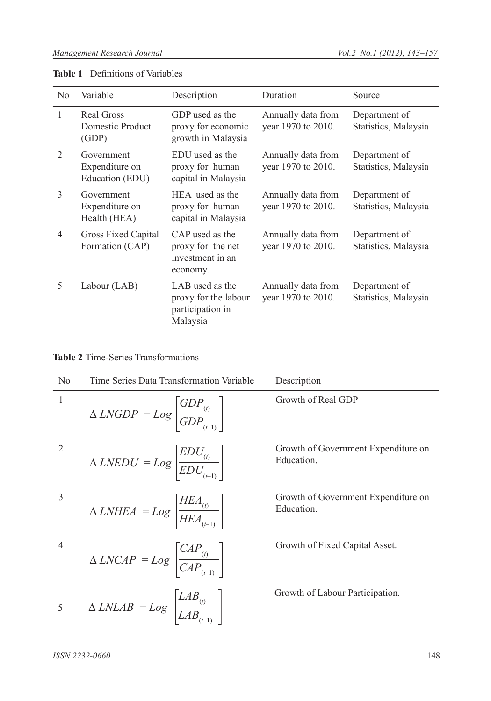| N <sub>0</sub> | Variable                                        | Description                                                             | Duration                                 | Source                                |
|----------------|-------------------------------------------------|-------------------------------------------------------------------------|------------------------------------------|---------------------------------------|
| 1              | Real Gross<br>Domestic Product<br>(GDP)         | GDP used as the<br>proxy for economic<br>growth in Malaysia             | Annually data from<br>year 1970 to 2010. | Department of<br>Statistics, Malaysia |
| $\mathfrak{D}$ | Government<br>Expenditure on<br>Education (EDU) | EDU used as the<br>proxy for human<br>capital in Malaysia               | Annually data from<br>year 1970 to 2010. | Department of<br>Statistics, Malaysia |
| 3              | Government<br>Expenditure on<br>Health (HEA)    | HEA used as the<br>proxy for human<br>capital in Malaysia               | Annually data from<br>year 1970 to 2010. | Department of<br>Statistics, Malaysia |
| $\overline{4}$ | Gross Fixed Capital<br>Formation (CAP)          | CAP used as the<br>proxy for the net<br>investment in an<br>economy.    | Annually data from<br>year 1970 to 2010. | Department of<br>Statistics, Malaysia |
| 5              | Labour (LAB)                                    | LAB used as the<br>proxy for the labour<br>participation in<br>Malaysia | Annually data from<br>year 1970 to 2010. | Department of<br>Statistics, Malaysia |

### **Table 1** Definitions of Variables

|  | <b>Table 2</b> Time-Series Transformations |  |  |
|--|--------------------------------------------|--|--|
|--|--------------------------------------------|--|--|

| N <sub>0</sub> | Time Series Data Transformation Variable                                                            | Description                                       |
|----------------|-----------------------------------------------------------------------------------------------------|---------------------------------------------------|
| 1              | $\Delta \text{LNGDP} = \text{Log} \left  \frac{\text{GDP}_{(i)}}{\text{GDP}_{(i-1)}} \right $       | Growth of Real GDP                                |
| $\overline{2}$ | $\Delta$ <i>LNEDU</i> = $Log \left[ \frac{EDU_{_{(t)}}}{EDU_{_{(t-1)}}} \right]$                    | Growth of Government Expenditure on<br>Education. |
| 3              | $\Delta \text{LNHEA} = \text{Log} \left[ \frac{\text{HEA}_{(t)}}{\text{HEA}_{(t-1)}} \right]$       | Growth of Government Expenditure on<br>Education. |
| $\overline{4}$ | $\Delta \text{LNCAP} = \text{Log} \left[ \frac{\text{CAP}_{_{(i)}}}{\text{CAP}_{_{(i-1)}}} \right]$ | Growth of Fixed Capital Asset.                    |
| 5              | $\Delta \text{LNLAB} = \text{Log} \left  \frac{\text{LAB}_{(i)}}{\text{LAB}_{(i-1)}} \right $       | Growth of Labour Participation.                   |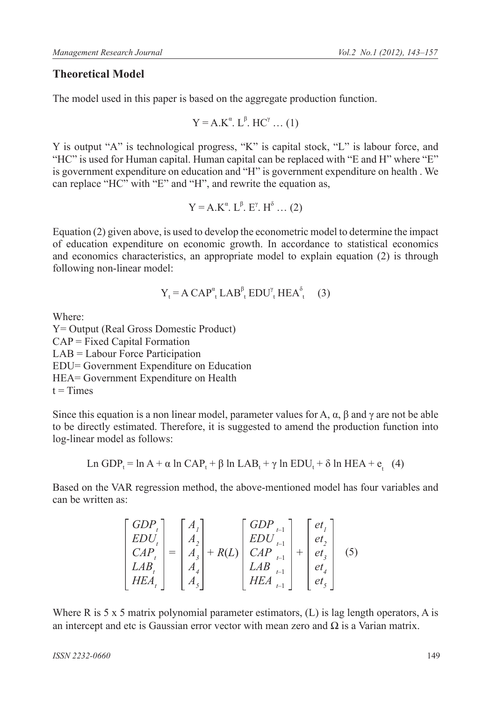### **Theoretical Model**

The model used in this paper is based on the aggregate production function.

$$
Y = A.K^{\alpha}. L^{\beta}. HC^{\gamma} ... (1)
$$

Y is output "A" is technological progress, "K" is capital stock, "L" is labour force, and "HC" is used for Human capital. Human capital can be replaced with "E and H" where "E" is government expenditure on education and "H" is government expenditure on health . We can replace "HC" with "E" and "H", and rewrite the equation as,

$$
Y = A.K^{\alpha}. L^{\beta}. E^{\gamma}. H^{\delta} \dots (2)
$$

Equation (2) given above, is used to develop the econometric model to determine the impact of education expenditure on economic growth. In accordance to statistical economics and economics characteristics, an appropriate model to explain equation (2) is through following non-linear model:

$$
Y_t = A CAP_{t}^{\alpha} LAB_{t}^{\beta} EDU_{t}^{\gamma} HEA_{t}^{\delta}
$$
 (3)

Where:

Y= Output (Real Gross Domestic Product)  $CAP = Fixed Capital Formation$ LAB = Labour Force Participation EDU= Government Expenditure on Education HEA= Government Expenditure on Health  $t =$ Times

Since this equation is a non linear model, parameter values for A,  $\alpha$ ,  $\beta$  and  $\gamma$  are not be able to be directly estimated. Therefore, it is suggested to amend the production function into log-linear model as follows:

Ln GDP<sub>t</sub> = ln A + 
$$
\alpha
$$
 ln CAP<sub>t</sub> +  $\beta$  ln LAB<sub>t</sub> +  $\gamma$  ln EDU<sub>t</sub> +  $\delta$  ln HEA +  $e_t$  (4)

Based on the VAR regression method, the above-mentioned model has four variables and can be written as:

$$
\begin{bmatrix}\nGDP_t \\
EDU_t \\
CAP_t \\
LAB_t \\
HEA_t\n\end{bmatrix} = \begin{bmatrix}\nA_1 \\
A_2 \\
A_3 \\
A_4 \\
A_5\n\end{bmatrix} + R(L) \begin{bmatrix}\nGDP_{t-1} \\
EDU_{t-1} \\
CAP_{t-1} \\
LAB_{t-1} \\
HEA_{t-1}\n\end{bmatrix} + \begin{bmatrix}\neq_1 \\
e\neq_2 \\
et_3 \\
et_4 \\
et_5\n\end{bmatrix}
$$
\n(5)

Where R is 5 x 5 matrix polynomial parameter estimators, (L) is lag length operators, A is an intercept and etc is Gaussian error vector with mean zero and  $\Omega$  is a Varian matrix.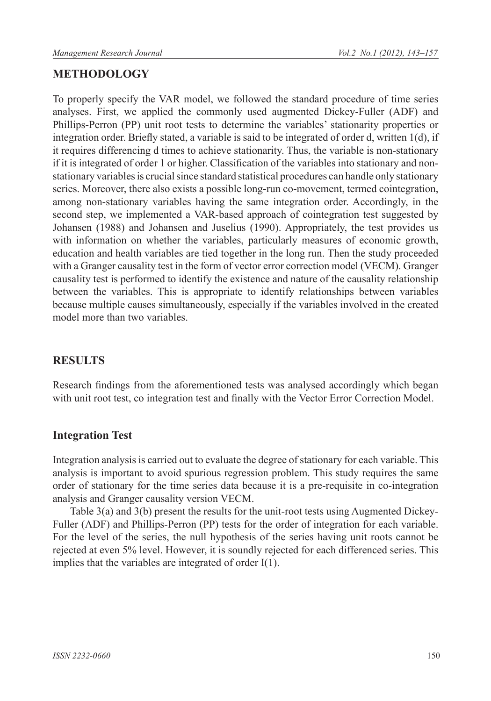# **METHODOLOGY**

To properly specify the VAR model, we followed the standard procedure of time series analyses. First, we applied the commonly used augmented Dickey-Fuller (ADF) and Phillips-Perron (PP) unit root tests to determine the variables' stationarity properties or integration order. Briefly stated, a variable is said to be integrated of order d, written 1(d), if it requires differencing d times to achieve stationarity. Thus, the variable is non-stationary if it is integrated of order 1 or higher. Classification of the variables into stationary and nonstationary variables is crucial since standard statistical procedures can handle only stationary series. Moreover, there also exists a possible long-run co-movement, termed cointegration, among non-stationary variables having the same integration order. Accordingly, in the second step, we implemented a VAR-based approach of cointegration test suggested by Johansen (1988) and Johansen and Juselius (1990). Appropriately, the test provides us with information on whether the variables, particularly measures of economic growth, education and health variables are tied together in the long run. Then the study proceeded with a Granger causality test in the form of vector error correction model (VECM). Granger causality test is performed to identify the existence and nature of the causality relationship between the variables. This is appropriate to identify relationships between variables because multiple causes simultaneously, especially if the variables involved in the created model more than two variables.

# **RESULTS**

Research findings from the aforementioned tests was analysed accordingly which began with unit root test, co integration test and finally with the Vector Error Correction Model.

# **Integration Test**

Integration analysis is carried out to evaluate the degree of stationary for each variable. This analysis is important to avoid spurious regression problem. This study requires the same order of stationary for the time series data because it is a pre-requisite in co-integration analysis and Granger causality version VECM.

Table 3(a) and 3(b) present the results for the unit-root tests using Augmented Dickey-Fuller (ADF) and Phillips-Perron (PP) tests for the order of integration for each variable. For the level of the series, the null hypothesis of the series having unit roots cannot be rejected at even 5% level. However, it is soundly rejected for each differenced series. This implies that the variables are integrated of order I(1).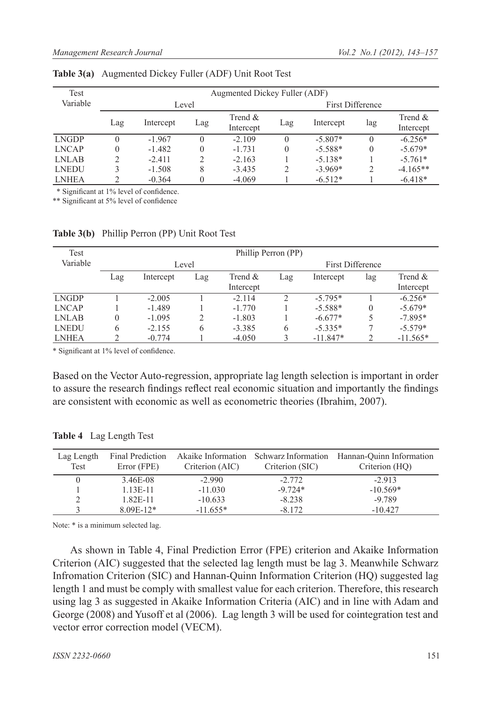| Test         | Augmented Dickey Fuller (ADF) |           |     |                         |          |                         |          |                         |  |
|--------------|-------------------------------|-----------|-----|-------------------------|----------|-------------------------|----------|-------------------------|--|
| Variable     |                               | Level     |     |                         |          | <b>First Difference</b> |          |                         |  |
|              | Lag                           | Intercept | Lag | Trend $\&$<br>Intercept | Lag      | Intercept               | lag      | Trend $\&$<br>Intercept |  |
| <b>LNGDP</b> | $\Omega$                      | $-1.967$  |     | $-2.109$                | $\Omega$ | $-5.807*$               | $\Omega$ | $-6.256*$               |  |
| <b>LNCAP</b> | $\theta$                      | $-1.482$  |     | $-1.731$                |          | $-5.588*$               | $\Omega$ | $-5.679*$               |  |
| <b>LNLAB</b> |                               | $-2.411$  |     | $-2.163$                |          | $-5.138*$               |          | $-5.761*$               |  |
| <b>LNEDU</b> |                               | $-1.508$  | 8   | $-3.435$                |          | $-3.969*$               | 2        | $-4.165**$              |  |
| <b>LNHEA</b> |                               | $-0.364$  |     | $-4.069$                |          | $-6.512*$               |          | $-6.418*$               |  |

**Table 3(a)** Augmented Dickey Fuller (ADF) Unit Root Test

\* Significant at 1% level of confidence.

\*\* Significant at 5% level of confidence

| Test         |     |           |     | Phillip Perron (PP) |     |                         |          |            |  |
|--------------|-----|-----------|-----|---------------------|-----|-------------------------|----------|------------|--|
| Variable     |     | Level     |     |                     |     | <b>First Difference</b> |          |            |  |
|              | Lag | Intercept | Lag | Trend &             | Lag | Intercept               | lag      | Trend $\&$ |  |
|              |     |           |     | Intercept           |     |                         |          | Intercept  |  |
| <b>LNGDP</b> |     | $-2.005$  |     | $-2.114$            | C   | $-5.795*$               |          | $-6.256*$  |  |
| <b>LNCAP</b> |     | $-1.489$  |     | $-1.770$            |     | $-5.588*$               | $\Omega$ | $-5.679*$  |  |
| LNLAB        | 0   | $-1.095$  |     | $-1.803$            |     | $-6.677*$               | 5        | $-7.895*$  |  |
| <b>LNEDU</b> | 6   | $-2.155$  | 6   | $-3.385$            | 6   | $-5.335*$               |          | $-5.579*$  |  |
| <b>LNHEA</b> |     | $-0.774$  |     | $-4.050$            |     | $-11.847*$              | ↑        | $-11.565*$ |  |

**Table 3(b)** Phillip Perron (PP) Unit Root Test

\* Significant at 1% level of confidence.

Based on the Vector Auto-regression, appropriate lag length selection is important in order to assure the research findings reflect real economic situation and importantly the findings are consistent with economic as well as econometric theories (Ibrahim, 2007).

| Lag Length<br>Test | Final Prediction<br>Error (FPE) | Akaike Information<br>Criterion (AIC) | Criterion (SIC) | Schwarz Information Hannan-Quinn Information<br>Criterion (HQ) |
|--------------------|---------------------------------|---------------------------------------|-----------------|----------------------------------------------------------------|
|                    | 3.46E-08                        | $-2.990$                              | $-2.772$        | $-2.913$                                                       |
|                    | $1.13E-11$                      | $-11.030$                             | $-9.724*$       | $-10.569*$                                                     |
|                    | $1.82E - 11$                    | $-10.633$                             | $-8.238$        | $-9.789$                                                       |
|                    | $8.09E-12*$                     | $-11.655*$                            | $-8.172$        | $-10.427$                                                      |

**Table 4** Lag Length Test

Note: \* is a minimum selected lag.

As shown in Table 4, Final Prediction Error (FPE) criterion and Akaike Information Criterion (AIC) suggested that the selected lag length must be lag 3. Meanwhile Schwarz Infromation Criterion (SIC) and Hannan-Quinn Information Criterion (HQ) suggested lag length 1 and must be comply with smallest value for each criterion. Therefore, this research using lag 3 as suggested in Akaike Information Criteria (AIC) and in line with Adam and George (2008) and Yusoff et al (2006). Lag length 3 will be used for cointegration test and vector error correction model (VECM).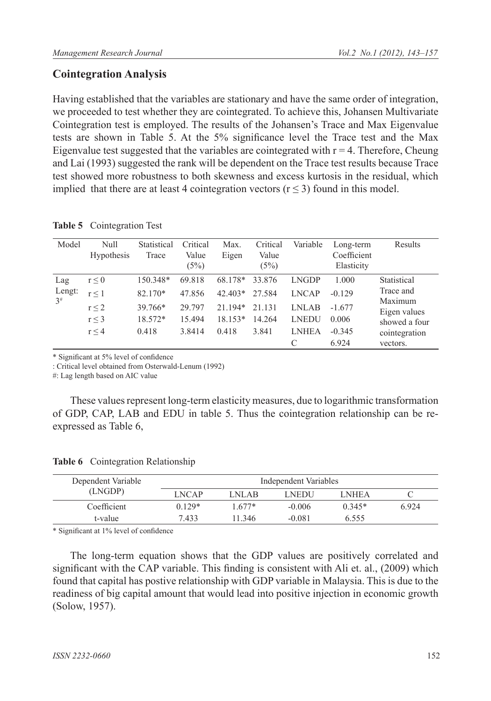# **Cointegration Analysis**

Having established that the variables are stationary and have the same order of integration, we proceeded to test whether they are cointegrated. To achieve this, Johansen Multivariate Cointegration test is employed. The results of the Johansen's Trace and Max Eigenvalue tests are shown in Table 5. At the 5% significance level the Trace test and the Max Eigenvalue test suggested that the variables are cointegrated with  $r = 4$ . Therefore, Cheung and Lai (1993) suggested the rank will be dependent on the Trace test results because Trace test showed more robustness to both skewness and excess kurtosis in the residual, which implied that there are at least 4 cointegration vectors ( $r \leq 3$ ) found in this model.

| Model    | Null<br><b>Hypothesis</b> | Statistical<br>Trace | Critical<br>Value<br>(5%) | Max.<br>Eigen | Critical<br>Value<br>(5%) | Variable     | Long-term<br>Coefficient<br>Elasticity | Results                 |
|----------|---------------------------|----------------------|---------------------------|---------------|---------------------------|--------------|----------------------------------------|-------------------------|
| Lag      | $r \leq 0$                | 150.348*             | 69.818                    | 68.178*       | 33.876                    | <b>LNGDP</b> | 1.000                                  | Statistical             |
| Lengt:   | r < 1                     | 82.170*              | 47.856                    | $42.403*$     | 27.584                    | <b>LNCAP</b> | $-0.129$                               | Trace and               |
| $3^{\#}$ | $r \leq 2$                | 39.766*              | 29.797                    | $21.194*$     | 21.131                    | <b>LNLAB</b> | $-1.677$                               | Maximum<br>Eigen values |
|          | $r \leq 3$                | 18.572*              | 15.494                    | $18.153*$     | 14.264                    | <b>LNEDU</b> | 0.006                                  | showed a four           |
|          | r < 4                     | 0.418                | 3.8414                    | 0.418         | 3.841                     | <b>LNHEA</b> | $-0.345$                               | cointegration           |
|          |                           |                      |                           |               |                           |              | 6.924                                  | vectors.                |

|  | Table 5 Cointegration Test |  |
|--|----------------------------|--|
|--|----------------------------|--|

\* Significant at 5% level of confidence

: Critical level obtained from Osterwald-Lenum (1992)

#: Lag length based on AIC value

These values represent long-term elasticity measures, due to logarithmic transformation of GDP, CAP, LAB and EDU in table 5. Thus the cointegration relationship can be reexpressed as Table 6,

| Dependent Variable | Independent Variables |          |          |              |      |
|--------------------|-----------------------|----------|----------|--------------|------|
| (LNGDP)            | <b>LNCAP</b>          | LNLAB.   | LNEDU    | <b>LNHEA</b> |      |
| Coefficient        | $0.129*$              | $1.677*$ | $-0.006$ | $0.345*$     | 6924 |
| t-value            | 7433                  | 11 346   | $-0.081$ | 6.555        |      |

#### **Table 6** Cointegration Relationship

\* Significant at 1% level of confidence

The long-term equation shows that the GDP values are positively correlated and significant with the CAP variable. This finding is consistent with Ali et. al., (2009) which found that capital has postive relationship with GDP variable in Malaysia. This is due to the readiness of big capital amount that would lead into positive injection in economic growth (Solow, 1957).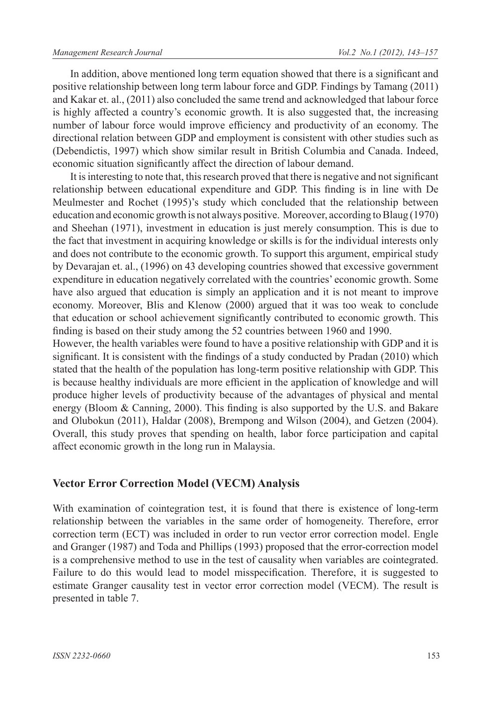In addition, above mentioned long term equation showed that there is a significant and positive relationship between long term labour force and GDP. Findings by Tamang (2011) and Kakar et. al., (2011) also concluded the same trend and acknowledged that labour force is highly affected a country's economic growth. It is also suggested that, the increasing number of labour force would improve efficiency and productivity of an economy. The directional relation between GDP and employment is consistent with other studies such as (Debendictis, 1997) which show similar result in British Columbia and Canada. Indeed, economic situation significantly affect the direction of labour demand.

It is interesting to note that, this research proved that there is negative and not significant relationship between educational expenditure and GDP. This finding is in line with De Meulmester and Rochet (1995)'s study which concluded that the relationship between education and economic growth is not always positive. Moreover, according to Blaug (1970) and Sheehan (1971), investment in education is just merely consumption. This is due to the fact that investment in acquiring knowledge or skills is for the individual interests only and does not contribute to the economic growth. To support this argument, empirical study by Devarajan et. al., (1996) on 43 developing countries showed that excessive government expenditure in education negatively correlated with the countries' economic growth. Some have also argued that education is simply an application and it is not meant to improve economy. Moreover, Blis and Klenow (2000) argued that it was too weak to conclude that education or school achievement significantly contributed to economic growth. This finding is based on their study among the 52 countries between 1960 and 1990.

However, the health variables were found to have a positive relationship with GDP and it is significant. It is consistent with the findings of a study conducted by Pradan (2010) which stated that the health of the population has long-term positive relationship with GDP. This is because healthy individuals are more efficient in the application of knowledge and will produce higher levels of productivity because of the advantages of physical and mental energy (Bloom & Canning, 2000). This finding is also supported by the U.S. and Bakare and Olubokun (2011), Haldar (2008), Brempong and Wilson (2004), and Getzen (2004). Overall, this study proves that spending on health, labor force participation and capital affect economic growth in the long run in Malaysia.

# **Vector Error Correction Model (VECM) Analysis**

With examination of cointegration test, it is found that there is existence of long-term relationship between the variables in the same order of homogeneity. Therefore, error correction term (ECT) was included in order to run vector error correction model. Engle and Granger (1987) and Toda and Phillips (1993) proposed that the error-correction model is a comprehensive method to use in the test of causality when variables are cointegrated. Failure to do this would lead to model misspecification. Therefore, it is suggested to estimate Granger causality test in vector error correction model (VECM). The result is presented in table 7.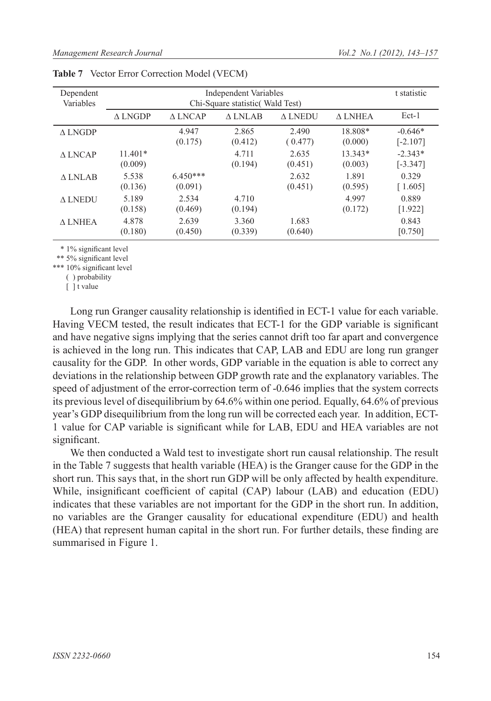| Dependent<br>Variables |                      | t statistic           |                  |                   |                      |                         |
|------------------------|----------------------|-----------------------|------------------|-------------------|----------------------|-------------------------|
|                        | $\triangle$ LNGDP    | A LNCAP               | A LNLAB          | $\triangle$ LNEDU | A LNHEA              | Ect-1                   |
| $\triangle$ LNGDP      |                      | 4.947<br>(0.175)      | 2.865<br>(0.412) | 2.490<br>(0.477)  | 18.808*<br>(0.000)   | $-0.646*$<br>$[-2.107]$ |
| A LNCAP                | $11.401*$<br>(0.009) |                       | 4.711<br>(0.194) | 2.635<br>(0.451)  | $13.343*$<br>(0.003) | $-2.343*$<br>$[-3.347]$ |
| A LNLAB                | 5.538<br>(0.136)     | $6.450***$<br>(0.091) |                  | 2.632<br>(0.451)  | 1.891<br>(0.595)     | 0.329<br>[1.605]        |
| $\triangle$ LNEDU      | 5.189<br>(0.158)     | 2.534<br>(0.469)      | 4.710<br>(0.194) |                   | 4.997<br>(0.172)     | 0.889<br>[1.922]        |
| A LNHEA                | 4.878<br>(0.180)     | 2.639<br>(0.450)      | 3.360<br>(0.339) | 1.683<br>(0.640)  |                      | 0.843<br>[0.750]        |

|  | Table 7 Vector Error Correction Model (VECM) |  |  |  |
|--|----------------------------------------------|--|--|--|
|--|----------------------------------------------|--|--|--|

\* 1% significant level

\*\* 5% significant level

\*\*\* 10% significant level

( ) probability

[ ] t value

Long run Granger causality relationship is identified in ECT-1 value for each variable. Having VECM tested, the result indicates that ECT-1 for the GDP variable is significant and have negative signs implying that the series cannot drift too far apart and convergence is achieved in the long run. This indicates that CAP, LAB and EDU are long run granger causality for the GDP. In other words, GDP variable in the equation is able to correct any deviations in the relationship between GDP growth rate and the explanatory variables. The speed of adjustment of the error-correction term of -0.646 implies that the system corrects its previous level of disequilibrium by 64.6% within one period. Equally, 64.6% of previous year's GDP disequilibrium from the long run will be corrected each year. In addition, ECT-1 value for CAP variable is significant while for LAB, EDU and HEA variables are not significant.

We then conducted a Wald test to investigate short run causal relationship. The result in the Table 7 suggests that health variable (HEA) is the Granger cause for the GDP in the short run. This says that, in the short run GDP will be only affected by health expenditure. While, insignificant coefficient of capital (CAP) labour (LAB) and education (EDU) indicates that these variables are not important for the GDP in the short run. In addition, no variables are the Granger causality for educational expenditure (EDU) and health (HEA) that represent human capital in the short run. For further details, these finding are summarised in Figure 1.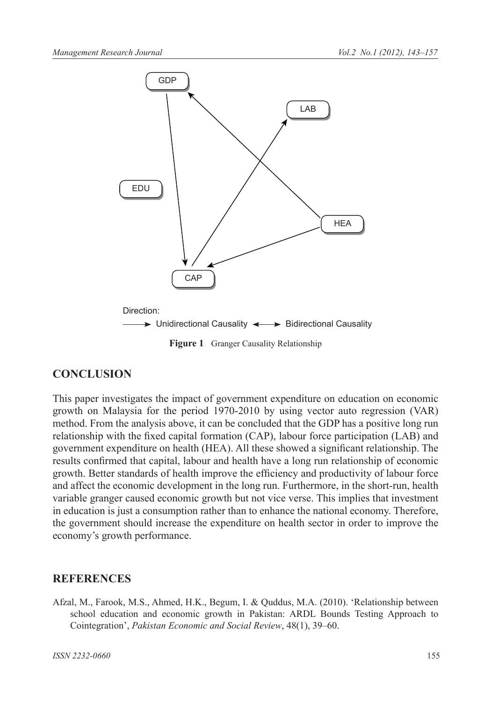

# **CONCLUSION**

This paper investigates the impact of government expenditure on education on economic growth on Malaysia for the period 1970-2010 by using vector auto regression (VAR) method. From the analysis above, it can be concluded that the GDP has a positive long run relationship with the fixed capital formation (CAP), labour force participation (LAB) and government expenditure on health (HEA). All these showed a significant relationship. The results confirmed that capital, labour and health have a long run relationship of economic growth. Better standards of health improve the efficiency and productivity of labour force and affect the economic development in the long run. Furthermore, in the short-run, health variable granger caused economic growth but not vice verse. This implies that investment in education is just a consumption rather than to enhance the national economy. Therefore, the government should increase the expenditure on health sector in order to improve the economy's growth performance.

### **REFERENCES**

Afzal, M., Farook, M.S., Ahmed, H.K., Begum, I. & Quddus, M.A. (2010). 'Relationship between school education and economic growth in Pakistan: ARDL Bounds Testing Approach to Cointegration', *Pakistan Economic and Social Review*, 48(1), 39–60.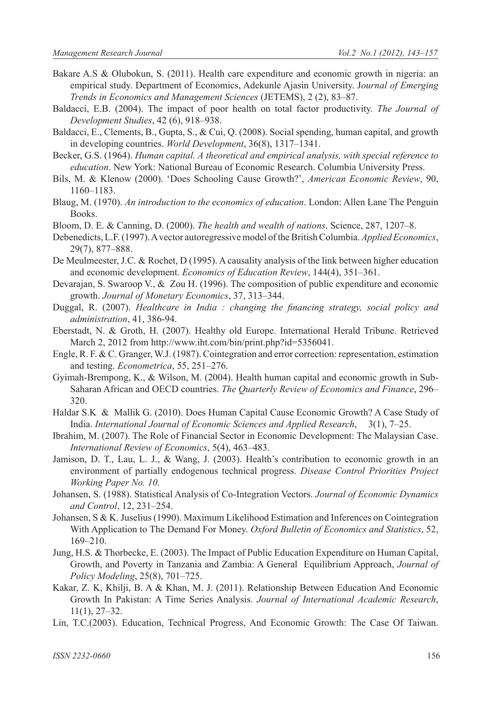- Bakare A.S & Olubokun, S. (2011). Health care expenditure and economic growth in nigeria: an empirical study. Department of Economics, Adekunle Ajasin University. J*ournal of Emerging Trends in Economics and Management Sciences* (JETEMS), 2 (2), 83‒87.
- Baldacci, E.B. (2004). The impact of poor health on total factor productivity. *The Journal of Development Studies*, 42 (6), 918‒938.
- Baldacci, E., Clements, B., Gupta, S., & Cui, Q. (2008). Social spending, human capital, and growth in developing countries. *World Development*, 36(8), 1317-1341.
- Becker, G.S. (1964). *Human capital. A theoretical and empirical analysis, with special reference to education*. New York: National Bureau of Economic Research. Columbia University Press.
- Bils, M. & Klenow (2000). 'Does Schooling Cause Growth?', *American Economic Review*, 90, 1160‒1183.
- Blaug, M. (1970). *An introduction to the economics of education*. London: Allen Lane The Penguin Books.
- Bloom, D. E. & Canning, D. (2000). *The health and wealth of nations*. Science, 287, 1207–8.
- Debenedicts, L.F. (1997). A vector autoregressive model of the British Columbia. *Applied Economics*, 29(7), 877-888.
- De Meulmeester, J.C. & Rochet, D (1995). A causality analysis of the link between higher education and economic development. *Economics of Education Review*, 144(4), 351-361.
- Devarajan, S. Swaroop V., & Zou H. (1996). The composition of public expenditure and economic growth. *Journal of Monetary Economics*, 37, 313‒344.
- Duggal, R. (2007). *Healthcare in India : changing the financing strategy, social policy and administration*, 41, 386-94.
- Eberstadt, N. & Groth, H. (2007). Healthy old Europe. International Herald Tribune. Retrieved March 2, 2012 from http://www.iht.com/bin/print.php?id=5356041.
- Engle, R. F. & C. Granger, W.J. (1987). Cointegration and error correction: representation, estimation and testing. *Econometrica*, 55, 251–276.
- Gyimah-Brempong, K., & Wilson, M. (2004). Health human capital and economic growth in Sub-Saharan African and OECD countries. *The Quarterly Review of Economics and Finance*, 296– 320.
- Haldar S.K & Mallik G. (2010). Does Human Capital Cause Economic Growth? A Case Study of India. *International Journal of Economic Sciences and Applied Research*, 3(1), 7‒25.
- Ibrahim, M. (2007). The Role of Financial Sector in Economic Development: The Malaysian Case. *International Review of Economics*, 5(4), 463‒483.
- Jamison, D. T., Lau, L. J., & Wang, J. (2003). Health's contribution to economic growth in an environment of partially endogenous technical progress. *Disease Control Priorities Project Working Paper No. 10*.
- Johansen, S. (1988). Statistical Analysis of Co-Integration Vectors. *Journal of Economic Dynamics and Control*, 12, 231‒254.
- Johansen, S & K. Juselius (1990). Maximum Likelihood Estimation and Inferences on Cointegration With Application to The Demand For Money. *Oxford Bulletin of Economics and Statistics*, 52, 169‒210.
- Jung, H.S. & Thorbecke, E. (2003). The Impact of Public Education Expenditure on Human Capital, Growth, and Poverty in Tanzania and Zambia: A General Equilibrium Approach, *Journal of Policy Modeling*, 25(8), 701‒725.
- Kakar, Z. K, Khilji, B. A & Khan, M. J. (2011). Relationship Between Education And Economic Growth In Pakistan: A Time Series Analysis. *Journal of International Academic Research*,  $11(1), 27-32.$
- Lin, T.C.(2003). Education, Technical Progress, And Economic Growth: The Case Of Taiwan.